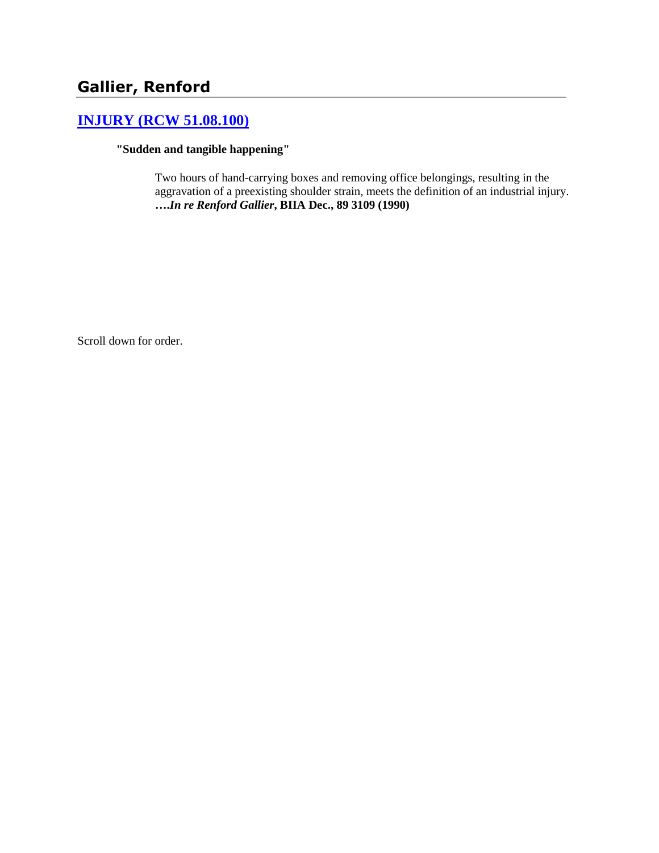# **Gallier, Renford**

# **[INJURY \(RCW 51.08.100\)](http://www.biia.wa.gov/SDSubjectIndex.html#INJURY)**

**"Sudden and tangible happening"**

Two hours of hand-carrying boxes and removing office belongings, resulting in the aggravation of a preexisting shoulder strain, meets the definition of an industrial injury. **….***In re Renford Gallier***, BIIA Dec., 89 3109 (1990)** 

Scroll down for order.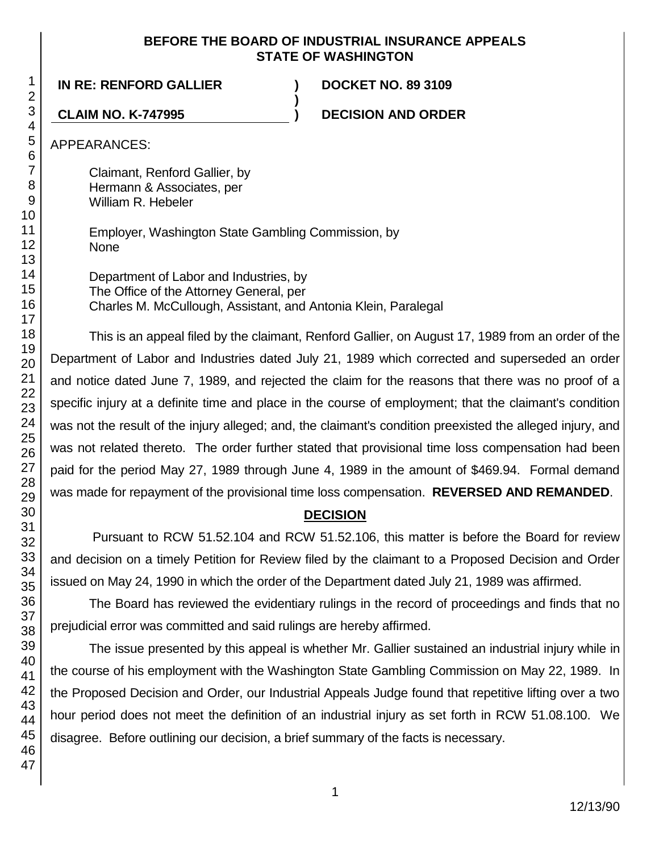### **BEFORE THE BOARD OF INDUSTRIAL INSURANCE APPEALS STATE OF WASHINGTON**

**)**

**IN RE: RENFORD GALLIER ) DOCKET NO. 89 3109**

**CLAIM NO. K-747995 ) DECISION AND ORDER**

APPEARANCES:

Claimant, Renford Gallier, by Hermann & Associates, per William R. Hebeler

Employer, Washington State Gambling Commission, by None

Department of Labor and Industries, by The Office of the Attorney General, per Charles M. McCullough, Assistant, and Antonia Klein, Paralegal

This is an appeal filed by the claimant, Renford Gallier, on August 17, 1989 from an order of the Department of Labor and Industries dated July 21, 1989 which corrected and superseded an order and notice dated June 7, 1989, and rejected the claim for the reasons that there was no proof of a specific injury at a definite time and place in the course of employment; that the claimant's condition was not the result of the injury alleged; and, the claimant's condition preexisted the alleged injury, and was not related thereto. The order further stated that provisional time loss compensation had been paid for the period May 27, 1989 through June 4, 1989 in the amount of \$469.94. Formal demand was made for repayment of the provisional time loss compensation. **REVERSED AND REMANDED**.

## **DECISION**

Pursuant to RCW 51.52.104 and RCW 51.52.106, this matter is before the Board for review and decision on a timely Petition for Review filed by the claimant to a Proposed Decision and Order issued on May 24, 1990 in which the order of the Department dated July 21, 1989 was affirmed.

The Board has reviewed the evidentiary rulings in the record of proceedings and finds that no prejudicial error was committed and said rulings are hereby affirmed.

The issue presented by this appeal is whether Mr. Gallier sustained an industrial injury while in the course of his employment with the Washington State Gambling Commission on May 22, 1989. In the Proposed Decision and Order, our Industrial Appeals Judge found that repetitive lifting over a two hour period does not meet the definition of an industrial injury as set forth in RCW 51.08.100. We disagree. Before outlining our decision, a brief summary of the facts is necessary.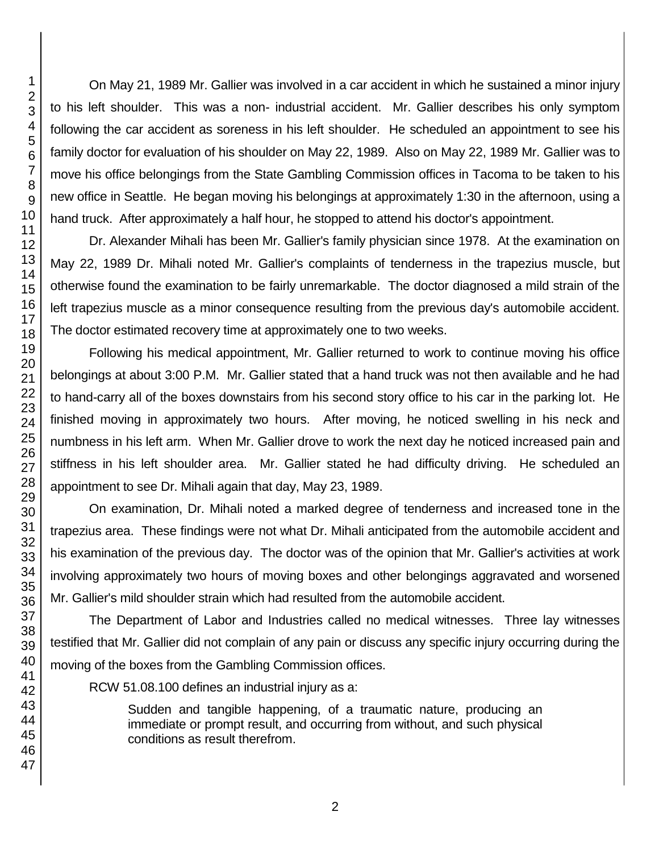On May 21, 1989 Mr. Gallier was involved in a car accident in which he sustained a minor injury to his left shoulder. This was a non- industrial accident. Mr. Gallier describes his only symptom following the car accident as soreness in his left shoulder. He scheduled an appointment to see his family doctor for evaluation of his shoulder on May 22, 1989. Also on May 22, 1989 Mr. Gallier was to move his office belongings from the State Gambling Commission offices in Tacoma to be taken to his new office in Seattle. He began moving his belongings at approximately 1:30 in the afternoon, using a hand truck. After approximately a half hour, he stopped to attend his doctor's appointment.

Dr. Alexander Mihali has been Mr. Gallier's family physician since 1978. At the examination on May 22, 1989 Dr. Mihali noted Mr. Gallier's complaints of tenderness in the trapezius muscle, but otherwise found the examination to be fairly unremarkable. The doctor diagnosed a mild strain of the left trapezius muscle as a minor consequence resulting from the previous day's automobile accident. The doctor estimated recovery time at approximately one to two weeks.

Following his medical appointment, Mr. Gallier returned to work to continue moving his office belongings at about 3:00 P.M. Mr. Gallier stated that a hand truck was not then available and he had to hand-carry all of the boxes downstairs from his second story office to his car in the parking lot. He finished moving in approximately two hours. After moving, he noticed swelling in his neck and numbness in his left arm. When Mr. Gallier drove to work the next day he noticed increased pain and stiffness in his left shoulder area. Mr. Gallier stated he had difficulty driving. He scheduled an appointment to see Dr. Mihali again that day, May 23, 1989.

On examination, Dr. Mihali noted a marked degree of tenderness and increased tone in the trapezius area. These findings were not what Dr. Mihali anticipated from the automobile accident and his examination of the previous day. The doctor was of the opinion that Mr. Gallier's activities at work involving approximately two hours of moving boxes and other belongings aggravated and worsened Mr. Gallier's mild shoulder strain which had resulted from the automobile accident.

The Department of Labor and Industries called no medical witnesses. Three lay witnesses testified that Mr. Gallier did not complain of any pain or discuss any specific injury occurring during the moving of the boxes from the Gambling Commission offices.

RCW 51.08.100 defines an industrial injury as a:

Sudden and tangible happening, of a traumatic nature, producing an immediate or prompt result, and occurring from without, and such physical conditions as result therefrom.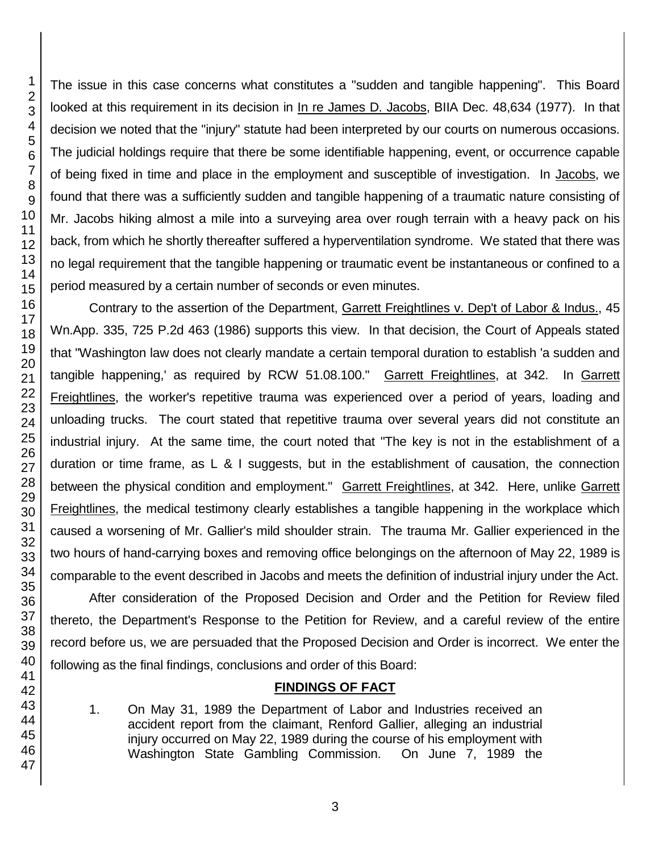The issue in this case concerns what constitutes a "sudden and tangible happening". This Board looked at this requirement in its decision in In re James D. Jacobs, BIIA Dec. 48,634 (1977). In that decision we noted that the "injury" statute had been interpreted by our courts on numerous occasions. The judicial holdings require that there be some identifiable happening, event, or occurrence capable of being fixed in time and place in the employment and susceptible of investigation. In Jacobs, we found that there was a sufficiently sudden and tangible happening of a traumatic nature consisting of Mr. Jacobs hiking almost a mile into a surveying area over rough terrain with a heavy pack on his back, from which he shortly thereafter suffered a hyperventilation syndrome. We stated that there was no legal requirement that the tangible happening or traumatic event be instantaneous or confined to a period measured by a certain number of seconds or even minutes.

Contrary to the assertion of the Department, Garrett Freightlines v. Dep't of Labor & Indus., 45 Wn.App. 335, 725 P.2d 463 (1986) supports this view. In that decision, the Court of Appeals stated that "Washington law does not clearly mandate a certain temporal duration to establish 'a sudden and tangible happening,' as required by RCW 51.08.100." Garrett Freightlines, at 342. In Garrett Freightlines, the worker's repetitive trauma was experienced over a period of years, loading and unloading trucks. The court stated that repetitive trauma over several years did not constitute an industrial injury. At the same time, the court noted that "The key is not in the establishment of a duration or time frame, as L & I suggests, but in the establishment of causation, the connection between the physical condition and employment." Garrett Freightlines, at 342. Here, unlike Garrett Freightlines, the medical testimony clearly establishes a tangible happening in the workplace which caused a worsening of Mr. Gallier's mild shoulder strain. The trauma Mr. Gallier experienced in the two hours of hand-carrying boxes and removing office belongings on the afternoon of May 22, 1989 is comparable to the event described in Jacobs and meets the definition of industrial injury under the Act.

After consideration of the Proposed Decision and Order and the Petition for Review filed thereto, the Department's Response to the Petition for Review, and a careful review of the entire record before us, we are persuaded that the Proposed Decision and Order is incorrect. We enter the following as the final findings, conclusions and order of this Board:

# **FINDINGS OF FACT**

1. On May 31, 1989 the Department of Labor and Industries received an accident report from the claimant, Renford Gallier, alleging an industrial injury occurred on May 22, 1989 during the course of his employment with Washington State Gambling Commission. On June 7, 1989 the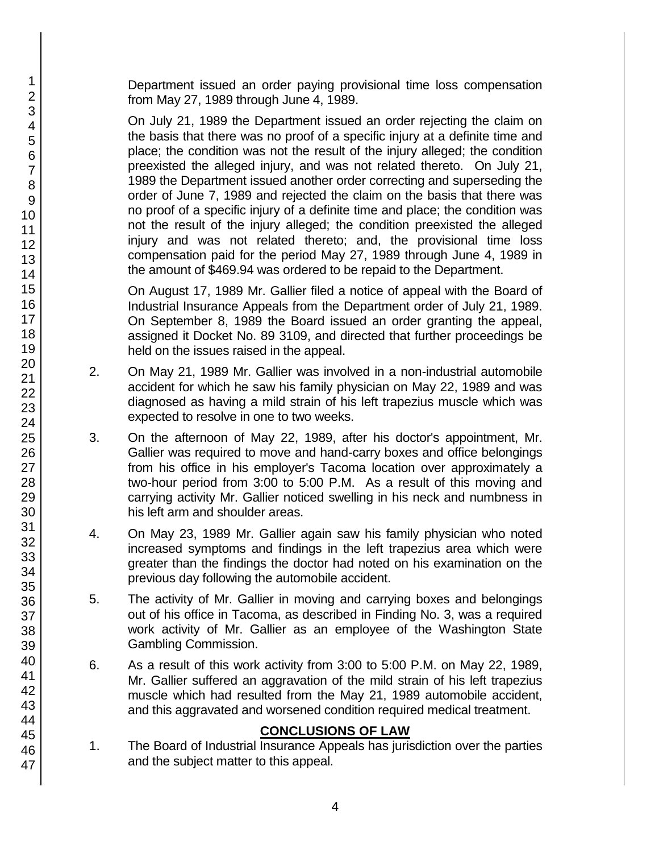Department issued an order paying provisional time loss compensation from May 27, 1989 through June 4, 1989.

On July 21, 1989 the Department issued an order rejecting the claim on the basis that there was no proof of a specific injury at a definite time and place; the condition was not the result of the injury alleged; the condition preexisted the alleged injury, and was not related thereto. On July 21, 1989 the Department issued another order correcting and superseding the order of June 7, 1989 and rejected the claim on the basis that there was no proof of a specific injury of a definite time and place; the condition was not the result of the injury alleged; the condition preexisted the alleged injury and was not related thereto; and, the provisional time loss compensation paid for the period May 27, 1989 through June 4, 1989 in the amount of \$469.94 was ordered to be repaid to the Department.

On August 17, 1989 Mr. Gallier filed a notice of appeal with the Board of Industrial Insurance Appeals from the Department order of July 21, 1989. On September 8, 1989 the Board issued an order granting the appeal, assigned it Docket No. 89 3109, and directed that further proceedings be held on the issues raised in the appeal.

- 2. On May 21, 1989 Mr. Gallier was involved in a non-industrial automobile accident for which he saw his family physician on May 22, 1989 and was diagnosed as having a mild strain of his left trapezius muscle which was expected to resolve in one to two weeks.
- 3. On the afternoon of May 22, 1989, after his doctor's appointment, Mr. Gallier was required to move and hand-carry boxes and office belongings from his office in his employer's Tacoma location over approximately a two-hour period from 3:00 to 5:00 P.M. As a result of this moving and carrying activity Mr. Gallier noticed swelling in his neck and numbness in his left arm and shoulder areas.
- 4. On May 23, 1989 Mr. Gallier again saw his family physician who noted increased symptoms and findings in the left trapezius area which were greater than the findings the doctor had noted on his examination on the previous day following the automobile accident.
- 5. The activity of Mr. Gallier in moving and carrying boxes and belongings out of his office in Tacoma, as described in Finding No. 3, was a required work activity of Mr. Gallier as an employee of the Washington State Gambling Commission.
- 6. As a result of this work activity from 3:00 to 5:00 P.M. on May 22, 1989, Mr. Gallier suffered an aggravation of the mild strain of his left trapezius muscle which had resulted from the May 21, 1989 automobile accident, and this aggravated and worsened condition required medical treatment.

## **CONCLUSIONS OF LAW**

1. The Board of Industrial Insurance Appeals has jurisdiction over the parties and the subject matter to this appeal.